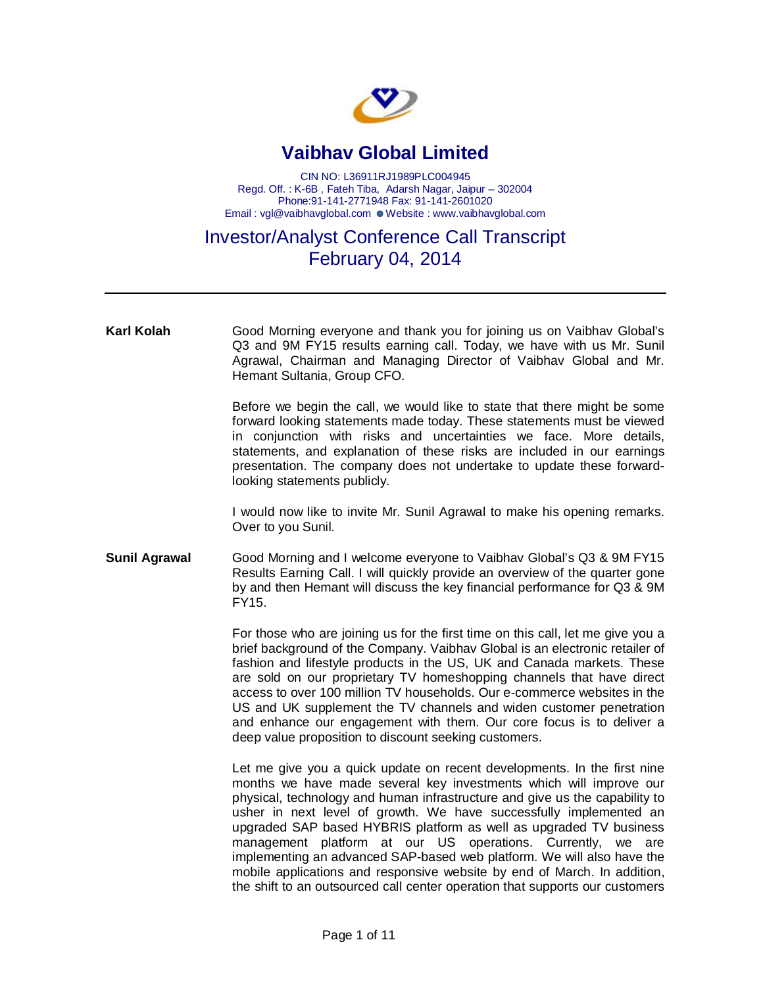

## **Vaibhav Global Limited**

CIN NO: L36911RJ1989PLC004945 Regd. Off. : K-6B , Fateh Tiba, Adarsh Nagar, Jaipur – 302004 Phone:91-141-2771948 Fax: 91-141-2601020 Email : vgl@vaibhavglobal.com · Website : www.vaibhavglobal.com

## Investor/Analyst Conference Call Transcript February 04, 2014

| <b>Karl Kolah</b>    | Good Morning everyone and thank you for joining us on Vaibhav Global's<br>Q3 and 9M FY15 results earning call. Today, we have with us Mr. Sunil<br>Agrawal, Chairman and Managing Director of Vaibhav Global and Mr.<br>Hemant Sultania, Group CFO.                                                                                                                                                                                                                                                                                                                                                                                                                            |
|----------------------|--------------------------------------------------------------------------------------------------------------------------------------------------------------------------------------------------------------------------------------------------------------------------------------------------------------------------------------------------------------------------------------------------------------------------------------------------------------------------------------------------------------------------------------------------------------------------------------------------------------------------------------------------------------------------------|
|                      | Before we begin the call, we would like to state that there might be some<br>forward looking statements made today. These statements must be viewed<br>in conjunction with risks and uncertainties we face. More details,<br>statements, and explanation of these risks are included in our earnings<br>presentation. The company does not undertake to update these forward-<br>looking statements publicly.                                                                                                                                                                                                                                                                  |
|                      | I would now like to invite Mr. Sunil Agrawal to make his opening remarks.<br>Over to you Sunil.                                                                                                                                                                                                                                                                                                                                                                                                                                                                                                                                                                                |
| <b>Sunil Agrawal</b> | Good Morning and I welcome everyone to Vaibhav Global's Q3 & 9M FY15<br>Results Earning Call. I will quickly provide an overview of the quarter gone<br>by and then Hemant will discuss the key financial performance for Q3 & 9M<br>FY15.                                                                                                                                                                                                                                                                                                                                                                                                                                     |
|                      | For those who are joining us for the first time on this call, let me give you a<br>brief background of the Company. Vaibhav Global is an electronic retailer of<br>fashion and lifestyle products in the US, UK and Canada markets. These<br>are sold on our proprietary TV homeshopping channels that have direct<br>access to over 100 million TV households. Our e-commerce websites in the<br>US and UK supplement the TV channels and widen customer penetration<br>and enhance our engagement with them. Our core focus is to deliver a<br>deep value proposition to discount seeking customers.                                                                         |
|                      | Let me give you a quick update on recent developments. In the first nine<br>months we have made several key investments which will improve our<br>physical, technology and human infrastructure and give us the capability to<br>usher in next level of growth. We have successfully implemented an<br>upgraded SAP based HYBRIS platform as well as upgraded TV business<br>management platform at our US operations. Currently, we are<br>implementing an advanced SAP-based web platform. We will also have the<br>mobile applications and responsive website by end of March. In addition,<br>the shift to an outsourced call center operation that supports our customers |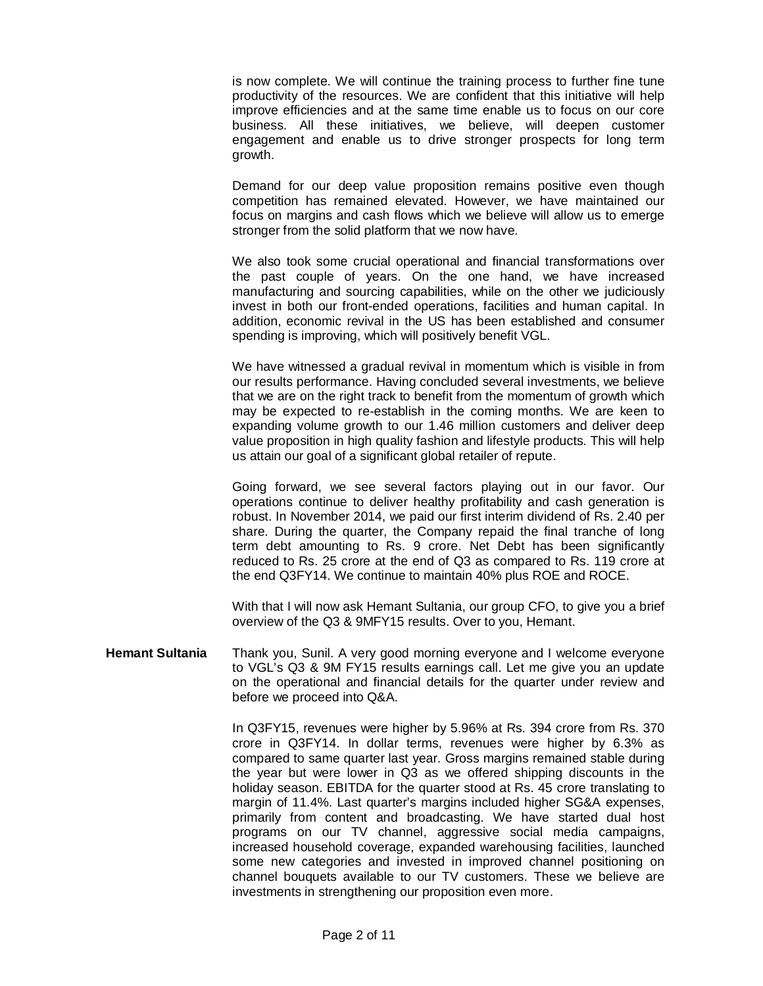is now complete. We will continue the training process to further fine tune productivity of the resources. We are confident that this initiative will help improve efficiencies and at the same time enable us to focus on our core business. All these initiatives, we believe, will deepen customer engagement and enable us to drive stronger prospects for long term growth.

Demand for our deep value proposition remains positive even though competition has remained elevated. However, we have maintained our focus on margins and cash flows which we believe will allow us to emerge stronger from the solid platform that we now have.

We also took some crucial operational and financial transformations over the past couple of years. On the one hand, we have increased manufacturing and sourcing capabilities, while on the other we judiciously invest in both our front-ended operations, facilities and human capital. In addition, economic revival in the US has been established and consumer spending is improving, which will positively benefit VGL.

We have witnessed a gradual revival in momentum which is visible in from our results performance. Having concluded several investments, we believe that we are on the right track to benefit from the momentum of growth which may be expected to re-establish in the coming months. We are keen to expanding volume growth to our 1.46 million customers and deliver deep value proposition in high quality fashion and lifestyle products. This will help us attain our goal of a significant global retailer of repute.

Going forward, we see several factors playing out in our favor. Our operations continue to deliver healthy profitability and cash generation is robust. In November 2014, we paid our first interim dividend of Rs. 2.40 per share. During the quarter, the Company repaid the final tranche of long term debt amounting to Rs. 9 crore. Net Debt has been significantly reduced to Rs. 25 crore at the end of Q3 as compared to Rs. 119 crore at the end Q3FY14. We continue to maintain 40% plus ROE and ROCE.

With that I will now ask Hemant Sultania, our group CFO, to give you a brief overview of the Q3 & 9MFY15 results. Over to you, Hemant.

**Hemant Sultania** Thank you, Sunil. A very good morning everyone and I welcome everyone to VGL's Q3 & 9M FY15 results earnings call. Let me give you an update on the operational and financial details for the quarter under review and before we proceed into Q&A.

> In Q3FY15, revenues were higher by 5.96% at Rs. 394 crore from Rs. 370 crore in Q3FY14. In dollar terms, revenues were higher by 6.3% as compared to same quarter last year. Gross margins remained stable during the year but were lower in Q3 as we offered shipping discounts in the holiday season. EBITDA for the quarter stood at Rs. 45 crore translating to margin of 11.4%. Last quarter's margins included higher SG&A expenses, primarily from content and broadcasting. We have started dual host programs on our TV channel, aggressive social media campaigns, increased household coverage, expanded warehousing facilities, launched some new categories and invested in improved channel positioning on channel bouquets available to our TV customers. These we believe are investments in strengthening our proposition even more.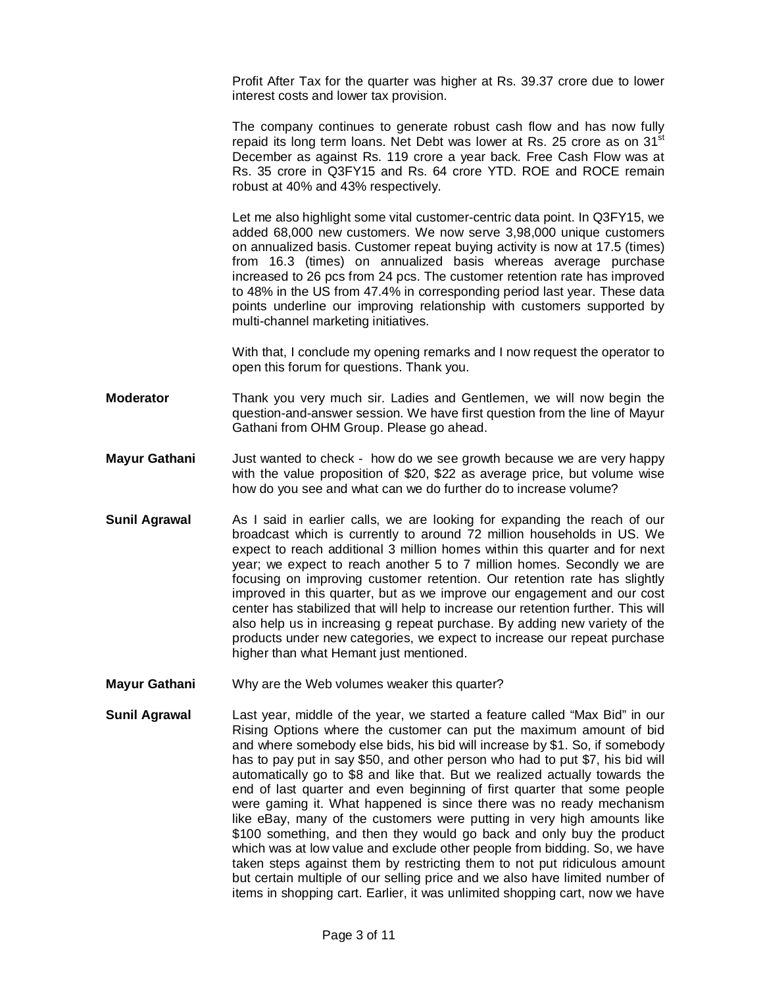Profit After Tax for the quarter was higher at Rs. 39.37 crore due to lower interest costs and lower tax provision.

The company continues to generate robust cash flow and has now fully repaid its long term loans. Net Debt was lower at Rs. 25 crore as on  $31<sup>st</sup>$ December as against Rs. 119 crore a year back. Free Cash Flow was at Rs. 35 crore in Q3FY15 and Rs. 64 crore YTD. ROE and ROCE remain robust at 40% and 43% respectively.

Let me also highlight some vital customer-centric data point. In Q3FY15, we added 68,000 new customers. We now serve 3,98,000 unique customers on annualized basis. Customer repeat buying activity is now at 17.5 (times) from 16.3 (times) on annualized basis whereas average purchase increased to 26 pcs from 24 pcs. The customer retention rate has improved to 48% in the US from 47.4% in corresponding period last year. These data points underline our improving relationship with customers supported by multi-channel marketing initiatives.

With that, I conclude my opening remarks and I now request the operator to open this forum for questions. Thank you.

- **Moderator** Thank you very much sir. Ladies and Gentlemen, we will now begin the question-and-answer session. We have first question from the line of Mayur Gathani from OHM Group. Please go ahead.
- **Mayur Gathani** Just wanted to check how do we see growth because we are very happy with the value proposition of \$20, \$22 as average price, but volume wise how do you see and what can we do further do to increase volume?
- **Sunil Agrawal** As I said in earlier calls, we are looking for expanding the reach of our broadcast which is currently to around 72 million households in US. We expect to reach additional 3 million homes within this quarter and for next year; we expect to reach another 5 to 7 million homes. Secondly we are focusing on improving customer retention. Our retention rate has slightly improved in this quarter, but as we improve our engagement and our cost center has stabilized that will help to increase our retention further. This will also help us in increasing g repeat purchase. By adding new variety of the products under new categories, we expect to increase our repeat purchase higher than what Hemant just mentioned.
- **Mayur Gathani** Why are the Web volumes weaker this quarter?
- **Sunil Agrawal** Last year, middle of the year, we started a feature called "Max Bid" in our Rising Options where the customer can put the maximum amount of bid and where somebody else bids, his bid will increase by \$1. So, if somebody has to pay put in say \$50, and other person who had to put \$7, his bid will automatically go to \$8 and like that. But we realized actually towards the end of last quarter and even beginning of first quarter that some people were gaming it. What happened is since there was no ready mechanism like eBay, many of the customers were putting in very high amounts like \$100 something, and then they would go back and only buy the product which was at low value and exclude other people from bidding. So, we have taken steps against them by restricting them to not put ridiculous amount but certain multiple of our selling price and we also have limited number of items in shopping cart. Earlier, it was unlimited shopping cart, now we have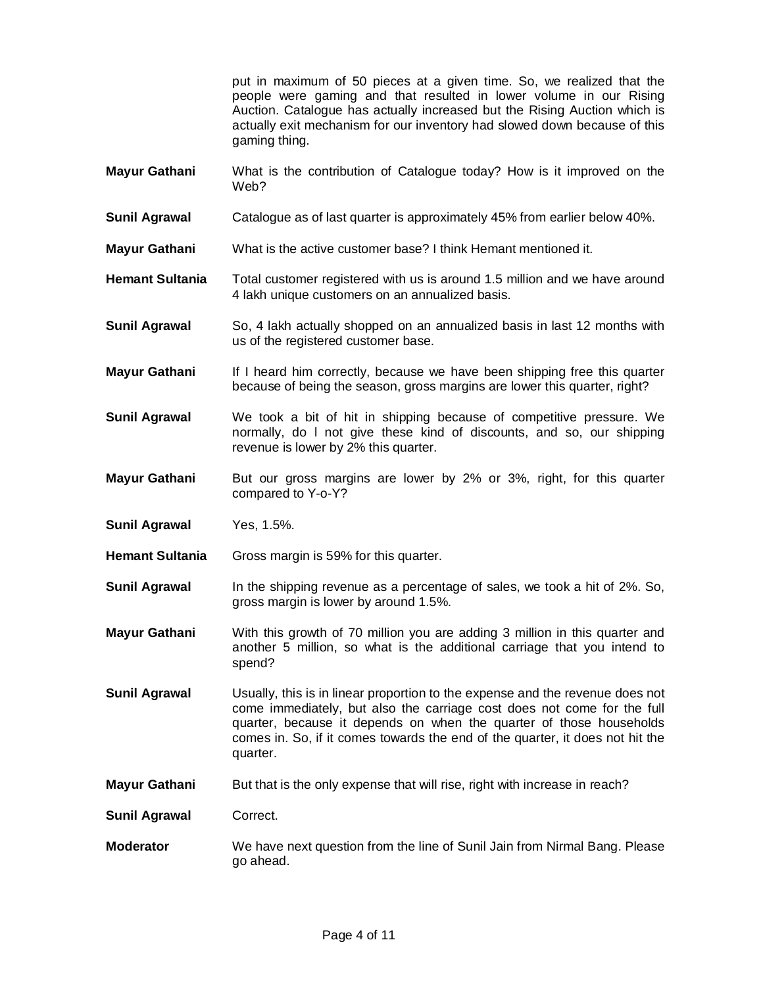put in maximum of 50 pieces at a given time. So, we realized that the people were gaming and that resulted in lower volume in our Rising Auction. Catalogue has actually increased but the Rising Auction which is actually exit mechanism for our inventory had slowed down because of this gaming thing.

- **Mayur Gathani** What is the contribution of Catalogue today? How is it improved on the Web?
- **Sunil Agrawal** Catalogue as of last quarter is approximately 45% from earlier below 40%.
- **Mayur Gathani** What is the active customer base? I think Hemant mentioned it.
- **Hemant Sultania** Total customer registered with us is around 1.5 million and we have around 4 lakh unique customers on an annualized basis.
- **Sunil Agrawal** So, 4 lakh actually shopped on an annualized basis in last 12 months with us of the registered customer base.
- **Mayur Gathani** If I heard him correctly, because we have been shipping free this quarter because of being the season, gross margins are lower this quarter, right?
- **Sunil Agrawal** We took a bit of hit in shipping because of competitive pressure. We normally, do l not give these kind of discounts, and so, our shipping revenue is lower by 2% this quarter.
- **Mayur Gathani** But our gross margins are lower by 2% or 3%, right, for this quarter compared to Y-o-Y?
- **Sunil Agrawal** Yes, 1.5%.
- **Hemant Sultania** Gross margin is 59% for this quarter.
- **Sunil Agrawal** In the shipping revenue as a percentage of sales, we took a hit of 2%. So, gross margin is lower by around 1.5%.
- **Mayur Gathani** With this growth of 70 million you are adding 3 million in this quarter and another 5 million, so what is the additional carriage that you intend to spend?
- **Sunil Agrawal** Usually, this is in linear proportion to the expense and the revenue does not come immediately, but also the carriage cost does not come for the full quarter, because it depends on when the quarter of those households comes in. So, if it comes towards the end of the quarter, it does not hit the quarter.
- **Mayur Gathani** But that is the only expense that will rise, right with increase in reach?
- **Sunil Agrawal** Correct.
- **Moderator** We have next question from the line of Sunil Jain from Nirmal Bang. Please go ahead.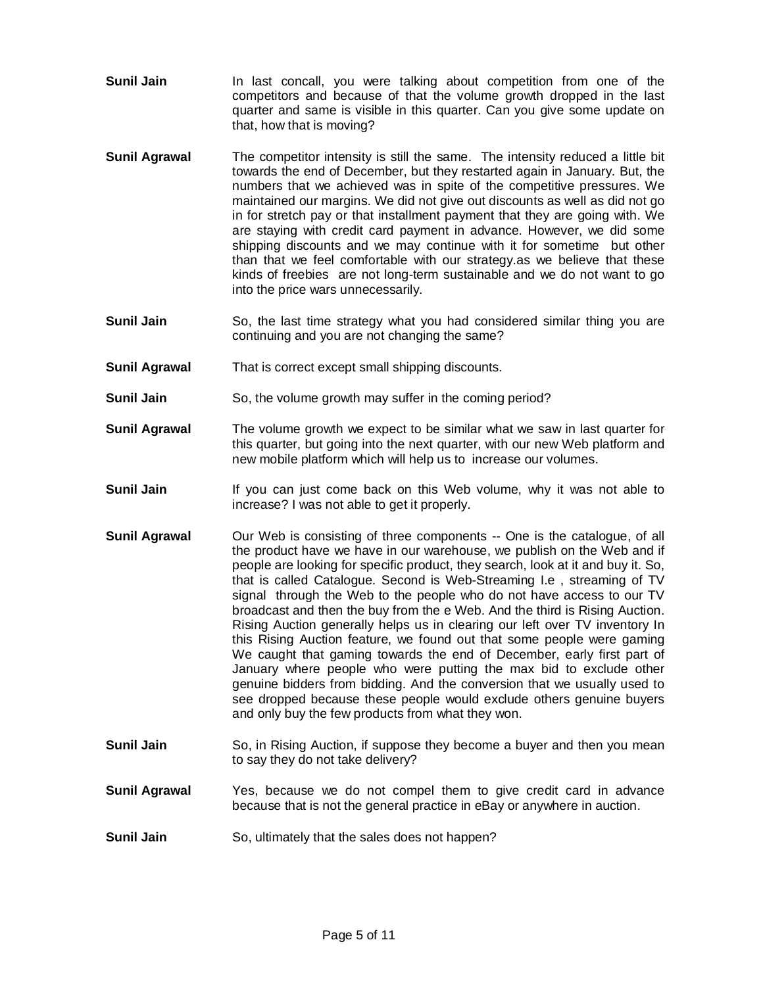- **Sunil Jain** In last concall, you were talking about competition from one of the competitors and because of that the volume growth dropped in the last quarter and same is visible in this quarter. Can you give some update on that, how that is moving?
- **Sunil Agrawal** The competitor intensity is still the same. The intensity reduced a little bit towards the end of December, but they restarted again in January. But, the numbers that we achieved was in spite of the competitive pressures. We maintained our margins. We did not give out discounts as well as did not go in for stretch pay or that installment payment that they are going with. We are staying with credit card payment in advance. However, we did some shipping discounts and we may continue with it for sometime but other than that we feel comfortable with our strategy.as we believe that these kinds of freebies are not long-term sustainable and we do not want to go into the price wars unnecessarily.
- **Sunil Jain** So, the last time strategy what you had considered similar thing you are continuing and you are not changing the same?
- **Sunil Agrawal** That is correct except small shipping discounts.
- **Sunil Jain** So, the volume growth may suffer in the coming period?
- **Sunil Agrawal** The volume growth we expect to be similar what we saw in last quarter for this quarter, but going into the next quarter, with our new Web platform and new mobile platform which will help us to increase our volumes.
- **Sunil Jain** If you can just come back on this Web volume, why it was not able to increase? I was not able to get it properly.
- **Sunil Agrawal** Our Web is consisting of three components -- One is the catalogue, of all the product have we have in our warehouse, we publish on the Web and if people are looking for specific product, they search, look at it and buy it. So, that is called Catalogue. Second is Web-Streaming I.e , streaming of TV signal through the Web to the people who do not have access to our TV broadcast and then the buy from the e Web. And the third is Rising Auction. Rising Auction generally helps us in clearing our left over TV inventory In this Rising Auction feature, we found out that some people were gaming We caught that gaming towards the end of December, early first part of January where people who were putting the max bid to exclude other genuine bidders from bidding. And the conversion that we usually used to see dropped because these people would exclude others genuine buyers and only buy the few products from what they won.
- **Sunil Jain** So, in Rising Auction, if suppose they become a buyer and then you mean to say they do not take delivery?
- **Sunil Agrawal** Yes, because we do not compel them to give credit card in advance because that is not the general practice in eBay or anywhere in auction.
- **Sunil Jain** So, ultimately that the sales does not happen?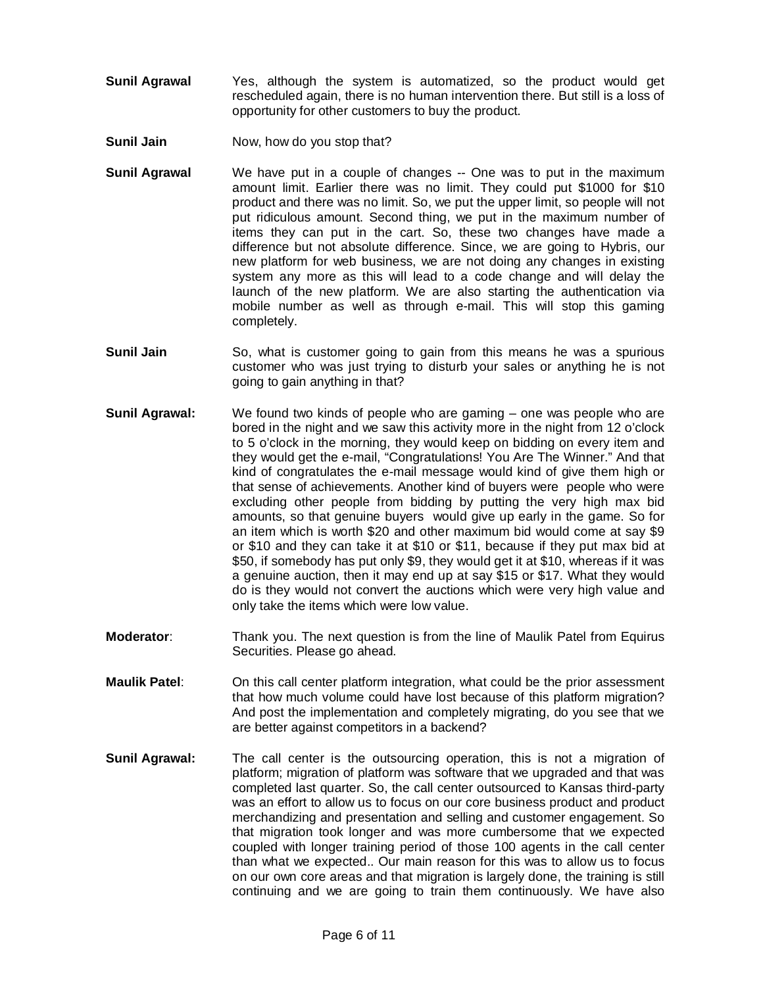- **Sunil Agrawal** Yes, although the system is automatized, so the product would get rescheduled again, there is no human intervention there. But still is a loss of opportunity for other customers to buy the product.
- **Sunil Jain** Now, how do you stop that?
- **Sunil Agrawal** We have put in a couple of changes -- One was to put in the maximum amount limit. Earlier there was no limit. They could put \$1000 for \$10 product and there was no limit. So, we put the upper limit, so people will not put ridiculous amount. Second thing, we put in the maximum number of items they can put in the cart. So, these two changes have made a difference but not absolute difference. Since, we are going to Hybris, our new platform for web business, we are not doing any changes in existing system any more as this will lead to a code change and will delay the launch of the new platform. We are also starting the authentication via mobile number as well as through e-mail. This will stop this gaming completely.
- **Sunil Jain** So, what is customer going to gain from this means he was a spurious customer who was just trying to disturb your sales or anything he is not going to gain anything in that?
- **Sunil Agrawal:** We found two kinds of people who are gaming one was people who are bored in the night and we saw this activity more in the night from 12 o'clock to 5 o'clock in the morning, they would keep on bidding on every item and they would get the e-mail, "Congratulations! You Are The Winner." And that kind of congratulates the e-mail message would kind of give them high or that sense of achievements. Another kind of buyers were people who were excluding other people from bidding by putting the very high max bid amounts, so that genuine buyers would give up early in the game. So for an item which is worth \$20 and other maximum bid would come at say \$9 or \$10 and they can take it at \$10 or \$11, because if they put max bid at \$50, if somebody has put only \$9, they would get it at \$10, whereas if it was a genuine auction, then it may end up at say \$15 or \$17. What they would do is they would not convert the auctions which were very high value and only take the items which were low value.
- **Moderator**: Thank you. The next question is from the line of Maulik Patel from Equirus Securities. Please go ahead.
- **Maulik Patel**: On this call center platform integration, what could be the prior assessment that how much volume could have lost because of this platform migration? And post the implementation and completely migrating, do you see that we are better against competitors in a backend?
- **Sunil Agrawal:** The call center is the outsourcing operation, this is not a migration of platform; migration of platform was software that we upgraded and that was completed last quarter. So, the call center outsourced to Kansas third-party was an effort to allow us to focus on our core business product and product merchandizing and presentation and selling and customer engagement. So that migration took longer and was more cumbersome that we expected coupled with longer training period of those 100 agents in the call center than what we expected.. Our main reason for this was to allow us to focus on our own core areas and that migration is largely done, the training is still continuing and we are going to train them continuously. We have also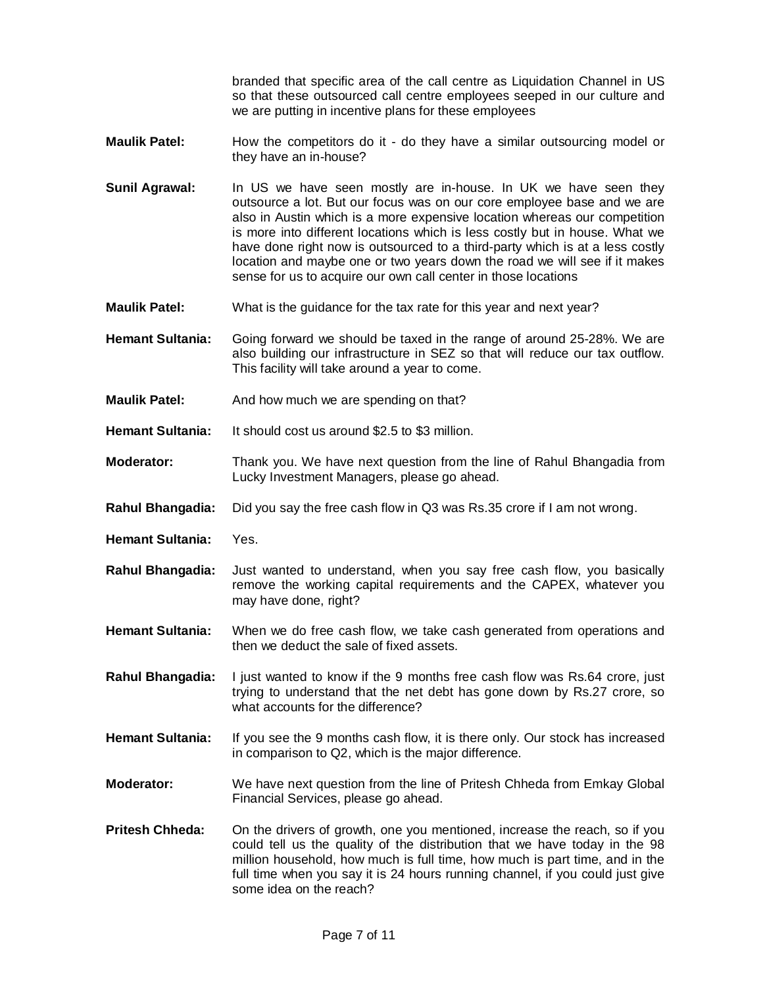branded that specific area of the call centre as Liquidation Channel in US so that these outsourced call centre employees seeped in our culture and we are putting in incentive plans for these employees

- **Maulik Patel:** How the competitors do it do they have a similar outsourcing model or they have an in-house?
- **Sunil Agrawal:** In US we have seen mostly are in-house. In UK we have seen they outsource a lot. But our focus was on our core employee base and we are also in Austin which is a more expensive location whereas our competition is more into different locations which is less costly but in house. What we have done right now is outsourced to a third-party which is at a less costly location and maybe one or two years down the road we will see if it makes sense for us to acquire our own call center in those locations
- **Maulik Patel:** What is the guidance for the tax rate for this year and next year?
- **Hemant Sultania:** Going forward we should be taxed in the range of around 25-28%. We are also building our infrastructure in SEZ so that will reduce our tax outflow. This facility will take around a year to come.
- **Maulik Patel:** And how much we are spending on that?
- **Hemant Sultania:** It should cost us around \$2.5 to \$3 million.
- **Moderator:** Thank you. We have next question from the line of Rahul Bhangadia from Lucky Investment Managers, please go ahead.
- **Rahul Bhangadia:** Did you say the free cash flow in Q3 was Rs.35 crore if I am not wrong.
- **Hemant Sultania:** Yes.
- **Rahul Bhangadia:** Just wanted to understand, when you say free cash flow, you basically remove the working capital requirements and the CAPEX, whatever you may have done, right?
- **Hemant Sultania:** When we do free cash flow, we take cash generated from operations and then we deduct the sale of fixed assets.
- **Rahul Bhangadia:** I just wanted to know if the 9 months free cash flow was Rs.64 crore, just trying to understand that the net debt has gone down by Rs.27 crore, so what accounts for the difference?
- **Hemant Sultania:** If you see the 9 months cash flow, it is there only. Our stock has increased in comparison to Q2, which is the major difference.
- **Moderator:** We have next question from the line of Pritesh Chheda from Emkay Global Financial Services, please go ahead.
- **Pritesh Chheda:** On the drivers of growth, one you mentioned, increase the reach, so if you could tell us the quality of the distribution that we have today in the 98 million household, how much is full time, how much is part time, and in the full time when you say it is 24 hours running channel, if you could just give some idea on the reach?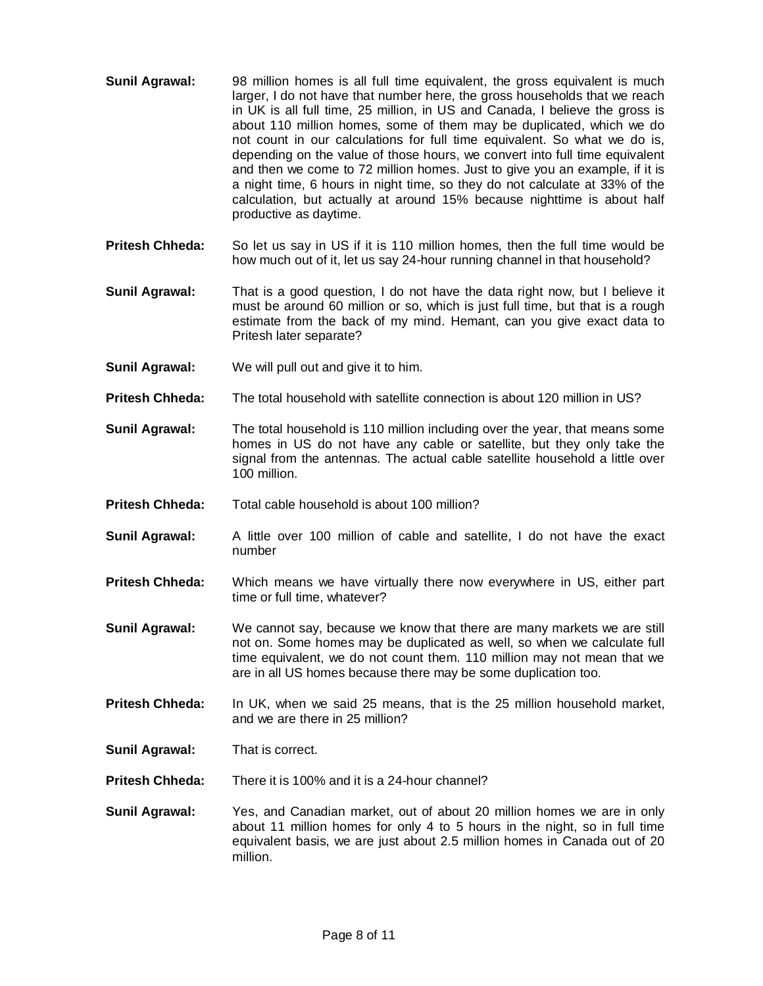- **Sunil Agrawal:** 98 million homes is all full time equivalent, the gross equivalent is much larger, I do not have that number here, the gross households that we reach in UK is all full time, 25 million, in US and Canada, I believe the gross is about 110 million homes, some of them may be duplicated, which we do not count in our calculations for full time equivalent. So what we do is, depending on the value of those hours, we convert into full time equivalent and then we come to 72 million homes. Just to give you an example, if it is a night time, 6 hours in night time, so they do not calculate at 33% of the calculation, but actually at around 15% because nighttime is about half productive as daytime.
- **Pritesh Chheda:** So let us say in US if it is 110 million homes, then the full time would be how much out of it, let us say 24-hour running channel in that household?
- **Sunil Agrawal:** That is a good question, I do not have the data right now, but I believe it must be around 60 million or so, which is just full time, but that is a rough estimate from the back of my mind. Hemant, can you give exact data to Pritesh later separate?
- **Sunil Agrawal:** We will pull out and give it to him.
- **Pritesh Chheda:** The total household with satellite connection is about 120 million in US?
- **Sunil Agrawal:** The total household is 110 million including over the year, that means some homes in US do not have any cable or satellite, but they only take the signal from the antennas. The actual cable satellite household a little over 100 million.
- **Pritesh Chheda:** Total cable household is about 100 million?
- **Sunil Agrawal:** A little over 100 million of cable and satellite, I do not have the exact number
- **Pritesh Chheda:** Which means we have virtually there now everywhere in US, either part time or full time, whatever?
- **Sunil Agrawal:** We cannot say, because we know that there are many markets we are still not on. Some homes may be duplicated as well, so when we calculate full time equivalent, we do not count them. 110 million may not mean that we are in all US homes because there may be some duplication too.
- **Pritesh Chheda:** In UK, when we said 25 means, that is the 25 million household market, and we are there in 25 million?
- **Sunil Agrawal:** That is correct.
- **Pritesh Chheda:** There it is 100% and it is a 24-hour channel?
- **Sunil Agrawal:** Yes, and Canadian market, out of about 20 million homes we are in only about 11 million homes for only 4 to 5 hours in the night, so in full time equivalent basis, we are just about 2.5 million homes in Canada out of 20 million.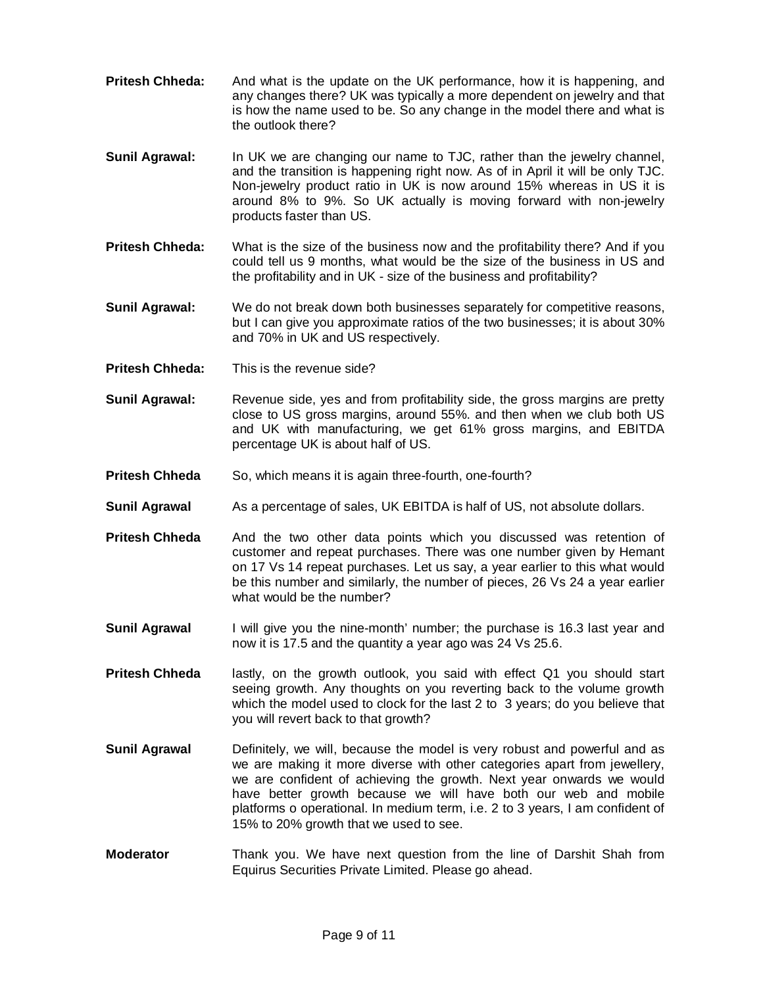- **Pritesh Chheda:** And what is the update on the UK performance, how it is happening, and any changes there? UK was typically a more dependent on jewelry and that is how the name used to be. So any change in the model there and what is the outlook there?
- **Sunil Agrawal:** In UK we are changing our name to TJC, rather than the jewelry channel, and the transition is happening right now. As of in April it will be only TJC. Non-jewelry product ratio in UK is now around 15% whereas in US it is around 8% to 9%. So UK actually is moving forward with non-jewelry products faster than US.
- **Pritesh Chheda:** What is the size of the business now and the profitability there? And if you could tell us 9 months, what would be the size of the business in US and the profitability and in UK - size of the business and profitability?
- **Sunil Agrawal:** We do not break down both businesses separately for competitive reasons, but I can give you approximate ratios of the two businesses; it is about 30% and 70% in UK and US respectively.
- **Pritesh Chheda:** This is the revenue side?
- **Sunil Agrawal:** Revenue side, yes and from profitability side, the gross margins are pretty close to US gross margins, around 55%. and then when we club both US and UK with manufacturing, we get 61% gross margins, and EBITDA percentage UK is about half of US.
- **Pritesh Chheda** So, which means it is again three-fourth, one-fourth?
- **Sunil Agrawal** As a percentage of sales, UK EBITDA is half of US, not absolute dollars.
- **Pritesh Chheda** And the two other data points which you discussed was retention of customer and repeat purchases. There was one number given by Hemant on 17 Vs 14 repeat purchases. Let us say, a year earlier to this what would be this number and similarly, the number of pieces, 26 Vs 24 a year earlier what would be the number?
- **Sunil Agrawal** I will give you the nine-month' number; the purchase is 16.3 last year and now it is 17.5 and the quantity a year ago was 24 Vs 25.6.
- **Pritesh Chheda** lastly, on the growth outlook, you said with effect Q1 you should start seeing growth. Any thoughts on you reverting back to the volume growth which the model used to clock for the last 2 to 3 years; do you believe that you will revert back to that growth?
- **Sunil Agrawal** Definitely, we will, because the model is very robust and powerful and as we are making it more diverse with other categories apart from jewellery, we are confident of achieving the growth. Next year onwards we would have better growth because we will have both our web and mobile platforms o operational. In medium term, i.e. 2 to 3 years, I am confident of 15% to 20% growth that we used to see.
- **Moderator** Thank you. We have next question from the line of Darshit Shah from Equirus Securities Private Limited. Please go ahead.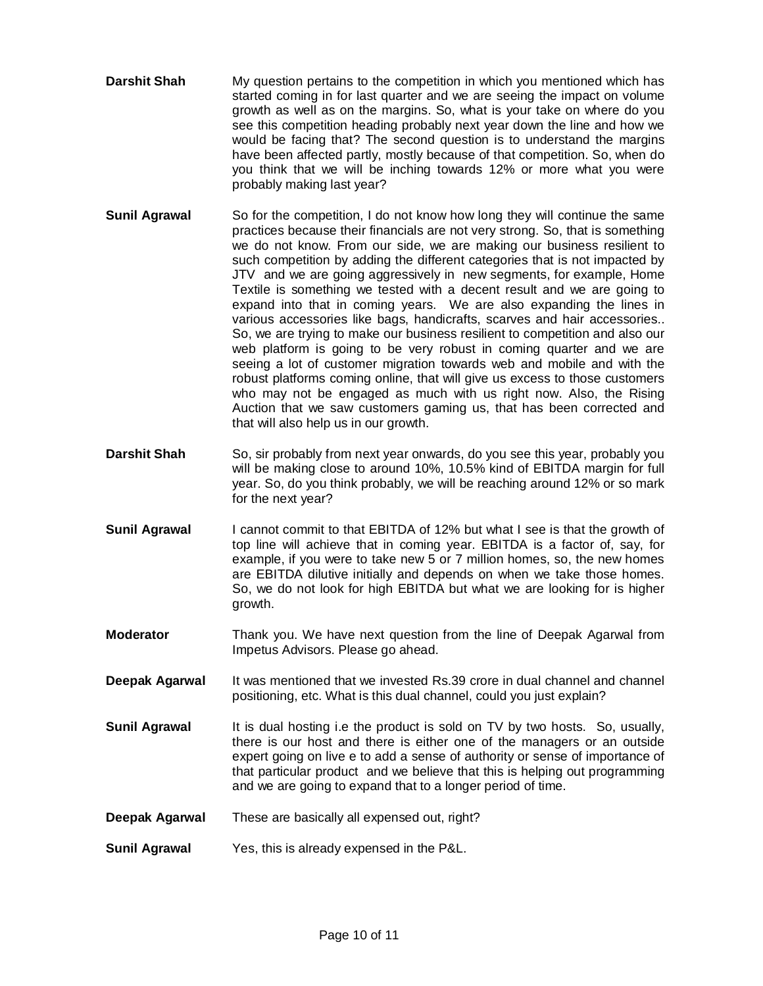- **Darshit Shah** My question pertains to the competition in which you mentioned which has started coming in for last quarter and we are seeing the impact on volume growth as well as on the margins. So, what is your take on where do you see this competition heading probably next year down the line and how we would be facing that? The second question is to understand the margins have been affected partly, mostly because of that competition. So, when do you think that we will be inching towards 12% or more what you were probably making last year?
- **Sunil Agrawal** So for the competition, I do not know how long they will continue the same practices because their financials are not very strong. So, that is something we do not know. From our side, we are making our business resilient to such competition by adding the different categories that is not impacted by JTV and we are going aggressively in new segments, for example, Home Textile is something we tested with a decent result and we are going to expand into that in coming years. We are also expanding the lines in various accessories like bags, handicrafts, scarves and hair accessories.. So, we are trying to make our business resilient to competition and also our web platform is going to be very robust in coming quarter and we are seeing a lot of customer migration towards web and mobile and with the robust platforms coming online, that will give us excess to those customers who may not be engaged as much with us right now. Also, the Rising Auction that we saw customers gaming us, that has been corrected and that will also help us in our growth.
- **Darshit Shah** So, sir probably from next year onwards, do you see this year, probably you will be making close to around 10%, 10.5% kind of EBITDA margin for full year. So, do you think probably, we will be reaching around 12% or so mark for the next year?
- **Sunil Agrawal** I cannot commit to that EBITDA of 12% but what I see is that the growth of top line will achieve that in coming year. EBITDA is a factor of, say, for example, if you were to take new 5 or 7 million homes, so, the new homes are EBITDA dilutive initially and depends on when we take those homes. So, we do not look for high EBITDA but what we are looking for is higher growth.
- **Moderator** Thank you. We have next question from the line of Deepak Agarwal from Impetus Advisors. Please go ahead.
- **Deepak Agarwal** It was mentioned that we invested Rs.39 crore in dual channel and channel positioning, etc. What is this dual channel, could you just explain?
- **Sunil Agrawal** It is dual hosting i.e the product is sold on TV by two hosts. So, usually, there is our host and there is either one of the managers or an outside expert going on live e to add a sense of authority or sense of importance of that particular product and we believe that this is helping out programming and we are going to expand that to a longer period of time.
- **Deepak Agarwal** These are basically all expensed out, right?
- **Sunil Agrawal** Yes, this is already expensed in the P&L.